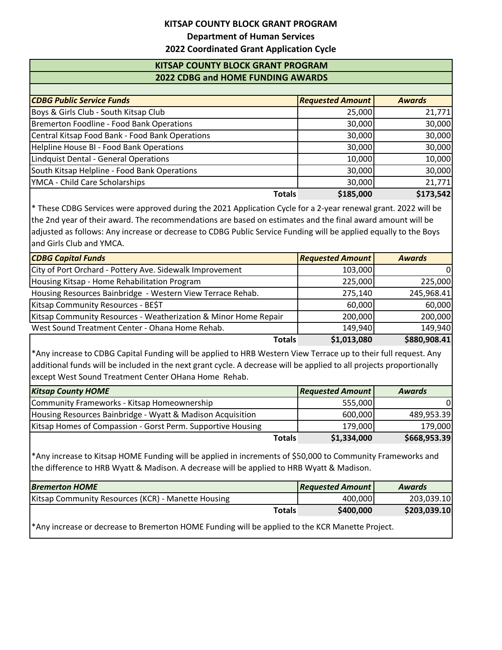## **KITSAP COUNTY BLOCK GRANT PROGRAM**

**Department of Human Services**

## **2022 Coordinated Grant Application Cycle**

## **KITSAP COUNTY BLOCK GRANT PROGRAM 2022 CDBG and HOME FUNDING AWARDS**

| <b>CDBG Public Service Funds</b>                | <b>Requested Amount</b> | <b>Awards</b> |
|-------------------------------------------------|-------------------------|---------------|
| Boys & Girls Club - South Kitsap Club           | 25,000                  | 21,771        |
| Bremerton Foodline - Food Bank Operations       | 30,000                  | 30,000        |
| Central Kitsap Food Bank - Food Bank Operations | 30,000                  | 30,000        |
| Helpline House BI - Food Bank Operations        | 30,000                  | 30,000        |
| Lindquist Dental - General Operations           | 10,000                  | 10,000        |
| South Kitsap Helpline - Food Bank Operations    | 30,000                  | 30,000        |
| YMCA - Child Care Scholarships                  | 30,000                  | 21,771        |
| <b>Totals</b>                                   | \$185,000               | \$173,542     |

\* These CDBG Services were approved during the 2021 Application Cycle for a 2-year renewal grant. 2022 will be the 2nd year of their award. The recommendations are based on estimates and the final award amount will be adjusted as follows: Any increase or decrease to CDBG Public Service Funding will be applied equally to the Boys and Girls Club and YMCA.

| <b>CDBG Capital Funds</b>                                       | <b>Requested Amount</b> | <b>Awards</b> |
|-----------------------------------------------------------------|-------------------------|---------------|
| City of Port Orchard - Pottery Ave. Sidewalk Improvement        | 103,000                 | $\Omega$      |
| Housing Kitsap - Home Rehabilitation Program                    | 225,000                 | 225,000       |
| Housing Resources Bainbridge - Western View Terrace Rehab.      | 275,140                 | 245,968.41    |
| Kitsap Community Resources - BE\$T                              | 60,000                  | 60,000        |
| Kitsap Community Resources - Weatherization & Minor Home Repair | 200,000                 | 200,000       |
| West Sound Treatment Center - Ohana Home Rehab.                 | 149,940                 | 149.940       |
| <b>Totals</b>                                                   | \$1,013,080             | \$880,908.41  |

\*Any increase to CDBG Capital Funding will be applied to HRB Western View Terrace up to their full request. Any additional funds will be included in the next grant cycle. A decrease will be applied to all projects proportionally except West Sound Treatment Center OHana Home Rehab.

| <b>Kitsap County HOME</b>                                   |               | <b>Requested Amount</b> | <b>Awards</b> |
|-------------------------------------------------------------|---------------|-------------------------|---------------|
| Community Frameworks - Kitsap Homeownership                 |               | 555,000                 | $\Omega$      |
| Housing Resources Bainbridge - Wyatt & Madison Acquisition  |               | 600,000                 | 489,953.39    |
| Kitsap Homes of Compassion - Gorst Perm. Supportive Housing |               | 179,000                 | 179.000       |
|                                                             | <b>Totals</b> | \$1,334,000             | \$668,953.39  |

\*Any increase to Kitsap HOME Funding will be applied in increments of \$50,000 to Community Frameworks and the difference to HRB Wyatt & Madison. A decrease will be applied to HRB Wyatt & Madison.

| <b>Bremerton HOME</b>                              |               | <b>Requested Amount</b> | <b>Awards</b> |
|----------------------------------------------------|---------------|-------------------------|---------------|
| Kitsap Community Resources (KCR) - Manette Housing |               | 400,000                 | 203,039.10    |
|                                                    | <b>Totals</b> | \$400,000               | \$203,039.10  |
|                                                    |               |                         |               |

\*Any increase or decrease to Bremerton HOME Funding will be applied to the KCR Manette Project.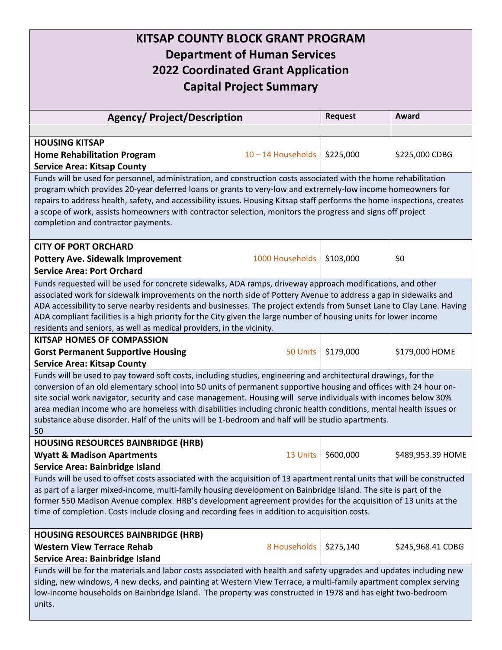| KITSAP COUNTY BLOCK GRANT PROGRAM<br><b>Department of Human Services</b><br><b>2022 Coordinated Grant Application</b><br><b>Capital Project Summary</b>                                                                                                                                                                                                                                                                                                                                                                                                                                  |                  |                |                   |
|------------------------------------------------------------------------------------------------------------------------------------------------------------------------------------------------------------------------------------------------------------------------------------------------------------------------------------------------------------------------------------------------------------------------------------------------------------------------------------------------------------------------------------------------------------------------------------------|------------------|----------------|-------------------|
| <b>Agency/ Project/Description</b>                                                                                                                                                                                                                                                                                                                                                                                                                                                                                                                                                       |                  | <b>Request</b> | Award             |
|                                                                                                                                                                                                                                                                                                                                                                                                                                                                                                                                                                                          |                  |                |                   |
| <b>HOUSING KITSAP</b><br><b>Home Rehabilitation Program</b><br><b>Service Area: Kitsap County</b>                                                                                                                                                                                                                                                                                                                                                                                                                                                                                        | 10-14 Households | \$225,000      | \$225,000 CDBG    |
| Funds will be used for personnel, administration, and construction costs associated with the home rehabilitation<br>program which provides 20-year deferred loans or grants to very-low and extremely-low income homeowners for<br>repairs to address health, safety, and accessibility issues. Housing Kitsap staff performs the home inspections, creates<br>a scope of work, assists homeowners with contractor selection, monitors the progress and signs off project<br>completion and contractor payments.                                                                         |                  |                |                   |
| <b>CITY OF PORT ORCHARD</b><br><b>Pottery Ave. Sidewalk Improvement</b><br><b>Service Area: Port Orchard</b>                                                                                                                                                                                                                                                                                                                                                                                                                                                                             | 1000 Households  | \$103,000      | \$0               |
| Funds requested will be used for concrete sidewalks, ADA ramps, driveway approach modifications, and other<br>associated work for sidewalk improvements on the north side of Pottery Avenue to address a gap in sidewalks and<br>ADA accessibility to serve nearby residents and businesses. The project extends from Sunset Lane to Clay Lane. Having<br>ADA compliant facilities is a high priority for the City given the large number of housing units for lower income<br>residents and seniors, as well as medical providers, in the vicinity.                                     |                  |                |                   |
| <b>KITSAP HOMES OF COMPASSION</b><br><b>Gorst Permanent Supportive Housing</b><br><b>Service Area: Kitsap County</b>                                                                                                                                                                                                                                                                                                                                                                                                                                                                     | 50 Units         | \$179,000      | \$179,000 HOME    |
| Funds will be used to pay toward soft costs, including studies, engineering and architectural drawings, for the<br>conversion of an old elementary school into 50 units of permanent supportive housing and offices with 24 hour on-<br>site social work navigator, security and case management. Housing will serve individuals with incomes below 30%<br>area median income who are homeless with disabilities including chronic health conditions, mental health issues or<br>substance abuse disorder. Half of the units will be 1-bedroom and half will be studio apartments.<br>50 |                  |                |                   |
| <b>HOUSING RESOURCES BAINBRIDGE (HRB)</b><br><b>Wyatt &amp; Madison Apartments</b><br>Service Area: Bainbridge Island                                                                                                                                                                                                                                                                                                                                                                                                                                                                    | 13 Units         | \$600,000      | \$489,953.39 HOME |
| Funds will be used to offset costs associated with the acquisition of 13 apartment rental units that will be constructed<br>as part of a larger mixed-income, multi-family housing development on Bainbridge Island. The site is part of the<br>former 550 Madison Avenue complex. HRB's development agreement provides for the acquisition of 13 units at the<br>time of completion. Costs include closing and recording fees in addition to acquisition costs.                                                                                                                         |                  |                |                   |
| <b>HOUSING RESOURCES BAINBRIDGE (HRB)</b><br><b>Western View Terrace Rehab</b><br>Service Area: Bainbridge Island                                                                                                                                                                                                                                                                                                                                                                                                                                                                        | 8 Households     | \$275,140      | \$245,968.41 CDBG |
| Funds will be for the materials and labor costs associated with health and safety upgrades and updates including new<br>siding, new windows, 4 new decks, and painting at Western View Terrace, a multi-family apartment complex serving<br>low-income households on Bainbridge Island. The property was constructed in 1978 and has eight two-bedroom<br>units.                                                                                                                                                                                                                         |                  |                |                   |